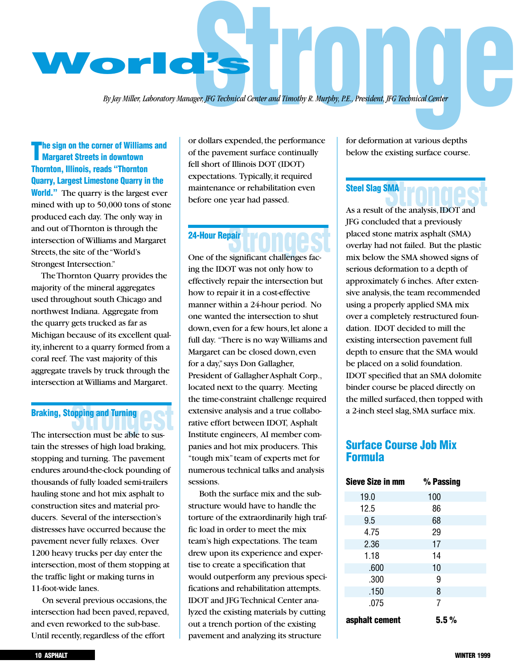

*By Jay Miller, Laboratory Manager, JFG Technical Center and Timothy R. Murphy, P.E., President, JFG Technical Center*

### **The sign on the corner of Williams and Margaret Streets in downtown Thornton, Illinois, reads "Thornton Quarry, Largest Limestone Quarry in the World."** The quarry is the largest ever mined with up to 50,000 tons of stone produced each day. The only way in and out of Thornton is through the intersection of Williams and Margaret Streets, the site of the "World's Strongest Intersection."

The Thornton Quarry provides the majority of the mineral aggregates used throughout south Chicago and northwest Indiana. Aggregate from the quarry gets trucked as far as Michigan because of its excellent quality,inherent to a quarry formed from a coral reef. The vast majority of this aggregate travels by truck through the intersection at Williams and Margaret.

# **Braking, Stopping and Turning<br>
The intersection must be able to sus-**

The intersection must be able to sustain the stresses of high load braking, stopping and turning. The pavement endures around-the-clock pounding of thousands of fully loaded semi-trailers hauling stone and hot mix asphalt to construction sites and material producers. Several of the intersection's distresses have occurred because the pavement never fully relaxes. Over 1200 heavy trucks per day enter the intersection, most of them stopping at the traffic light or making turns in 11-foot-wide lanes.

On several previous occasions,the intersection had been paved, repaved, and even reworked to the sub-base. Until recently, regardless of the effort

or dollars expended, the performance of the pavement surface continually fell short of Illinois DOT (IDOT) expectations. Typically, it required maintenance or rehabilitation even before one year had passed.

# **Stronger Stronger Stronger Stronger Stronger Stronger Stronger Stronger Stronger Stronger Stronger Stronger Stronger Stronger Stronger Stronger Stronger Stronger Stronger Stronger Stronger Stronger Stronger Stronger Stron 24-Hour Repair**

ing the IDOT was not only how to effectively repair the intersection but how to repair it in a cost-effective manner within a 24-hour period. No one wanted the intersection to shut down,even for a few hours,let alone a full day. "There is no way Williams and Margaret can be closed down, even for a day,"says Don Gallagher, President of Gallagher Asphalt Corp., located next to the quarry. Meeting the time-constraint challenge required extensive analysis and a true collaborative effort between IDOT, Asphalt Institute engineers, AI member companies and hot mix producers. This "tough mix"team of experts met for numerous technical talks and analysis sessions.

Both the surface mix and the substructure would have to handle the torture of the extraordinarily high traffic load in order to meet the mix team's high expectations. The team drew upon its experience and expertise to create a specification that would outperform any previous specifications and rehabilitation attempts. IDOT and JFG Technical Center analyzed the existing materials by cutting out a trench portion of the existing pavement and analyzing its structure

for deformation at various depths below the existing surface course.

#### **Steel Slag SMA**

**Steel Slag SMA**<br>As a result of the analysis, IDOT and JFG concluded that a previously placed stone matrix asphalt (SMA) overlay had not failed. But the plastic mix below the SMA showed signs of serious deformation to a depth of approximately 6 inches. After extensive analysis, the team recommended using a properly applied SMA mix over a completely restructured foundation. IDOT decided to mill the existing intersection pavement full depth to ensure that the SMA would be placed on a solid foundation. IDOT specified that an SMA dolomite binder course be placed directly on the milled surfaced, then topped with a 2-inch steel slag,SMA surface mix.

## **Surface Course Job Mix Formula**

| Sieve Size in mm | % Passing |
|------------------|-----------|
| 19.0             | 100       |
| 12.5             | 86        |
| 9.5              | 68        |
| 4.75             | 29        |
| 2.36             | 17        |
| 1.18             | 14        |
| .600             | 10        |
| .300             | 9         |
| .150             | 8         |
| .075             | 7         |
| asphalt cement   | $5.5\%$   |